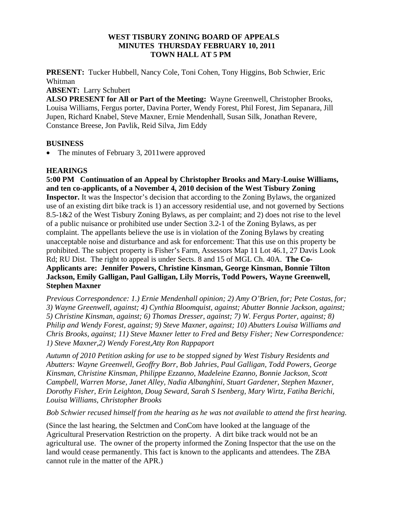## **WEST TISBURY ZONING BOARD OF APPEALS MINUTES THURSDAY FEBRUARY 10, 2011 TOWN HALL AT 5 PM**

**PRESENT:** Tucker Hubbell, Nancy Cole, Toni Cohen, Tony Higgins, Bob Schwier, Eric Whitman

**ABSENT:** Larry Schubert

**ALSO PRESENT for All or Part of the Meeting:** Wayne Greenwell, Christopher Brooks, Louisa Williams, Fergus porter, Davina Porter, Wendy Forest, Phil Forest, Jim Sepanara, Jill Jupen, Richard Knabel, Steve Maxner, Ernie Mendenhall, Susan Silk, Jonathan Revere, Constance Breese, Jon Pavlik, Reid Silva, Jim Eddy

## **BUSINESS**

• The minutes of February 3, 2011 were approved

## **HEARINGS**

**5:00 PM Continuation of an Appeal by Christopher Brooks and Mary-Louise Williams, and ten co-applicants, of a November 4, 2010 decision of the West Tisbury Zoning Inspector.** It was the Inspector's decision that according to the Zoning Bylaws, the organized use of an existing dirt bike track is 1) an accessory residential use, and not governed by Sections 8.5-1&2 of the West Tisbury Zoning Bylaws, as per complaint; and 2) does not rise to the level of a public nuisance or prohibited use under Section 3.2-1 of the Zoning Bylaws, as per complaint. The appellants believe the use is in violation of the Zoning Bylaws by creating unacceptable noise and disturbance and ask for enforcement: That this use on this property be prohibited. The subject property is Fisher's Farm, Assessors Map 11 Lot 46.1, 27 Davis Look Rd; RU Dist. The right to appeal is under Sects. 8 and 15 of MGL Ch. 40A. **The Co-Applicants are: Jennifer Powers, Christine Kinsman, George Kinsman, Bonnie Tilton Jackson, Emily Galligan, Paul Galligan, Lily Morris, Todd Powers, Wayne Greenwell, Stephen Maxner** 

*Previous Correspondence: 1.) Ernie Mendenhall opinion; 2) Amy O'Brien, for; Pete Costas, for; 3) Wayne Greenwell, against; 4) Cynthia Bloomquist, against; Abutter Bonnie Jackson, against; 5) Christine Kinsman, against; 6) Thomas Dresser, against; 7) W. Fergus Porter, against; 8) Philip and Wendy Forest, against; 9) Steve Maxner, against; 10) Abutters Louisa Williams and Chris Brooks, against; 11) Steve Maxner letter to Fred and Betsy Fisher; New Correspondence: 1) Steve Maxner,2) Wendy Forest,Atty Ron Rappaport* 

*Autumn of 2010 Petition asking for use to be stopped signed by West Tisbury Residents and Abutters: Wayne Greenwell, Geoffry Borr, Bob Jahries, Paul Galligan, Todd Powers, George Kinsman, Christine Kinsman, Philippe Ezzanno, Madeleine Ezanno, Bonnie Jackson, Scott Campbell, Warren Morse, Janet Alley, Nadia Albanghini, Stuart Gardener, Stephen Maxner, Dorothy Fisher, Erin Leighton, Doug Seward, Sarah S Isenberg, Mary Wirtz, Fatiha Berichi, Louisa Williams, Christopher Brooks* 

*Bob Schwier recused himself from the hearing as he was not available to attend the first hearing.* 

(Since the last hearing, the Selctmen and ConCom have looked at the language of the Agricultural Preservation Restriction on the property. A dirt bike track would not be an agricultural use. The owner of the property informed the Zoning Inspector that the use on the land would cease permanently. This fact is known to the applicants and attendees. The ZBA cannot rule in the matter of the APR.)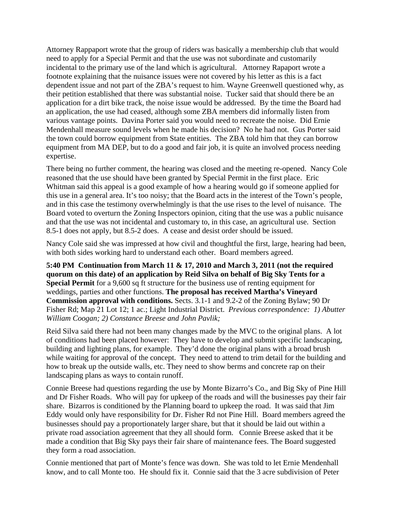Attorney Rappaport wrote that the group of riders was basically a membership club that would need to apply for a Special Permit and that the use was not subordinate and customarily incidental to the primary use of the land which is agricultural. Attorney Rapaport wrote a footnote explaining that the nuisance issues were not covered by his letter as this is a fact dependent issue and not part of the ZBA's request to him. Wayne Greenwell questioned why, as their petition established that there was substantial noise. Tucker said that should there be an application for a dirt bike track, the noise issue would be addressed. By the time the Board had an application, the use had ceased, although some ZBA members did informally listen from various vantage points. Davina Porter said you would need to recreate the noise. Did Ernie Mendenhall measure sound levels when he made his decision? No he had not. Gus Porter said the town could borrow equipment from State entities. The ZBA told him that they can borrow equipment from MA DEP, but to do a good and fair job, it is quite an involved process needing expertise.

There being no further comment, the hearing was closed and the meeting re-opened. Nancy Cole reasoned that the use should have been granted by Special Permit in the first place. Eric Whitman said this appeal is a good example of how a hearing would go if someone applied for this use in a general area. It's too noisy; that the Board acts in the interest of the Town's people, and in this case the testimony overwhelmingly is that the use rises to the level of nuisance. The Board voted to overturn the Zoning Inspectors opinion, citing that the use was a public nuisance and that the use was not incidental and customary to, in this case, an agricultural use. Section 8.5-1 does not apply, but 8.5-2 does. A cease and desist order should be issued.

Nancy Cole said she was impressed at how civil and thoughtful the first, large, hearing had been, with both sides working hard to understand each other. Board members agreed.

**5:40 PM Continuation from March 11 & 17, 2010 and March 3, 2011 (not the required quorum on this date) of an application by Reid Silva on behalf of Big Sky Tents for a Special Permit** for a 9,600 sq ft structure for the business use of renting equipment for weddings, parties and other functions. **The proposal has received Martha's Vineyard Commission approval with conditions.** Sects. 3.1-1 and 9.2-2 of the Zoning Bylaw; 90 Dr Fisher Rd; Map 21 Lot 12; 1 ac.; Light Industrial District. *Previous correspondence: 1) Abutter William Coogan; 2) Constance Breese and John Pavlik;* 

Reid Silva said there had not been many changes made by the MVC to the original plans. A lot of conditions had been placed however: They have to develop and submit specific landscaping, building and lighting plans, for example. They'd done the original plans with a broad brush while waiting for approval of the concept. They need to attend to trim detail for the building and how to break up the outside walls, etc. They need to show berms and concrete rap on their landscaping plans as ways to contain runoff.

Connie Breese had questions regarding the use by Monte Bizarro's Co., and Big Sky of Pine Hill and Dr Fisher Roads. Who will pay for upkeep of the roads and will the businesses pay their fair share. Bizarros is conditioned by the Planning board to upkeep the road. It was said that Jim Eddy would only have responsibility for Dr. Fisher Rd not Pine Hill. Board members agreed the businesses should pay a proportionately larger share, but that it should be laid out within a private road association agreement that they all should form. Connie Breese asked that it be made a condition that Big Sky pays their fair share of maintenance fees. The Board suggested they form a road association.

Connie mentioned that part of Monte's fence was down. She was told to let Ernie Mendenhall know, and to call Monte too. He should fix it. Connie said that the 3 acre subdivision of Peter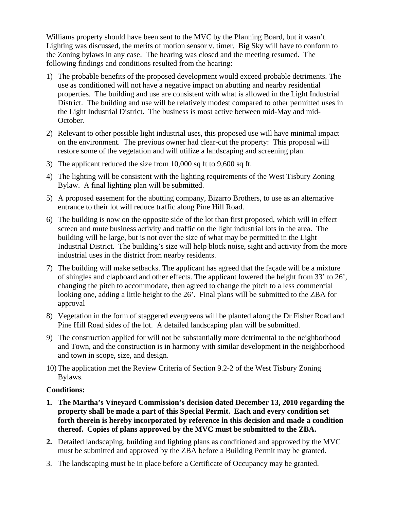Williams property should have been sent to the MVC by the Planning Board, but it wasn't. Lighting was discussed, the merits of motion sensor v. timer. Big Sky will have to conform to the Zoning bylaws in any case. The hearing was closed and the meeting resumed. The following findings and conditions resulted from the hearing:

- 1) The probable benefits of the proposed development would exceed probable detriments. The use as conditioned will not have a negative impact on abutting and nearby residential properties. The building and use are consistent with what is allowed in the Light Industrial District. The building and use will be relatively modest compared to other permitted uses in the Light Industrial District. The business is most active between mid-May and mid-October.
- 2) Relevant to other possible light industrial uses, this proposed use will have minimal impact on the environment. The previous owner had clear-cut the property: This proposal will restore some of the vegetation and will utilize a landscaping and screening plan.
- 3) The applicant reduced the size from 10,000 sq ft to 9,600 sq ft.
- 4) The lighting will be consistent with the lighting requirements of the West Tisbury Zoning Bylaw. A final lighting plan will be submitted.
- 5) A proposed easement for the abutting company, Bizarro Brothers, to use as an alternative entrance to their lot will reduce traffic along Pine Hill Road.
- 6) The building is now on the opposite side of the lot than first proposed, which will in effect screen and mute business activity and traffic on the light industrial lots in the area. The building will be large, but is not over the size of what may be permitted in the Light Industrial District. The building's size will help block noise, sight and activity from the more industrial uses in the district from nearby residents.
- 7) The building will make setbacks. The applicant has agreed that the façade will be a mixture of shingles and clapboard and other effects. The applicant lowered the height from 33' to 26', changing the pitch to accommodate, then agreed to change the pitch to a less commercial looking one, adding a little height to the 26'. Final plans will be submitted to the ZBA for approval
- 8) Vegetation in the form of staggered evergreens will be planted along the Dr Fisher Road and Pine Hill Road sides of the lot. A detailed landscaping plan will be submitted.
- 9) The construction applied for will not be substantially more detrimental to the neighborhood and Town, and the construction is in harmony with similar development in the neighborhood and town in scope, size, and design.
- 10) The application met the Review Criteria of Section 9.2-2 of the West Tisbury Zoning Bylaws.

## **Conditions:**

- **1. The Martha's Vineyard Commission's decision dated December 13, 2010 regarding the property shall be made a part of this Special Permit. Each and every condition set forth therein is hereby incorporated by reference in this decision and made a condition thereof. Copies of plans approved by the MVC must be submitted to the ZBA.**
- **2.** Detailed landscaping, building and lighting plans as conditioned and approved by the MVC must be submitted and approved by the ZBA before a Building Permit may be granted.
- 3. The landscaping must be in place before a Certificate of Occupancy may be granted.